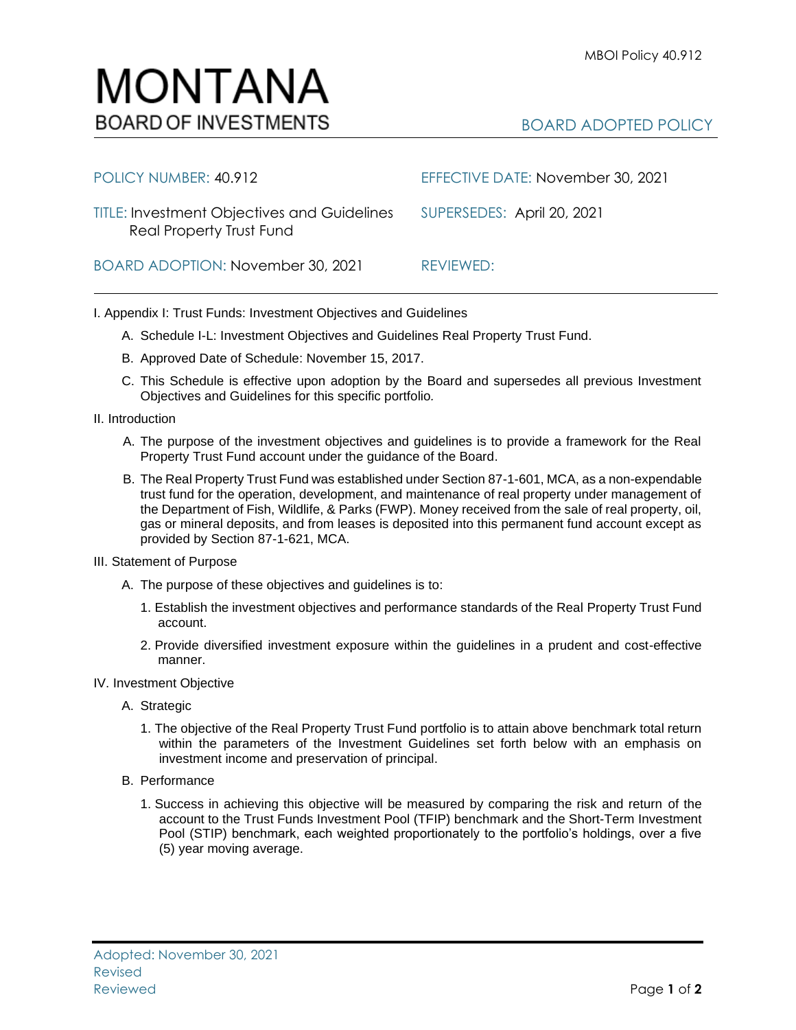## BOARD ADOPTED POLICY

| POLICY NUMBER: 40.912                                                          | EFFECTIVE DATE: November 30, 2021 |
|--------------------------------------------------------------------------------|-----------------------------------|
| <b>TITLE: Investment Objectives and Guidelines</b><br>Real Property Trust Fund | SUPERSEDES: April 20, 2021        |
| BOARD ADOPTION: November 30, 2021                                              | REVIEWED:                         |

I. Appendix I: Trust Funds: Investment Objectives and Guidelines

- A. Schedule I-L: Investment Objectives and Guidelines Real Property Trust Fund.
- B. Approved Date of Schedule: November 15, 2017.
- C. This Schedule is effective upon adoption by the Board and supersedes all previous Investment Objectives and Guidelines for this specific portfolio*.*
- II. Introduction
	- A. The purpose of the investment objectives and guidelines is to provide a framework for the Real Property Trust Fund account under the guidance of the Board.
	- B. The Real Property Trust Fund was established under Section 87-1-601, MCA, as a non-expendable trust fund for the operation, development, and maintenance of real property under management of the Department of Fish, Wildlife, & Parks (FWP). Money received from the sale of real property, oil, gas or mineral deposits, and from leases is deposited into this permanent fund account except as provided by Section 87-1-621, MCA.
- III. Statement of Purpose
	- A. The purpose of these objectives and guidelines is to:
		- 1. Establish the investment objectives and performance standards of the Real Property Trust Fund account.
		- 2. Provide diversified investment exposure within the guidelines in a prudent and cost-effective manner.
- IV. Investment Objective
	- A. Strategic
		- 1. The objective of the Real Property Trust Fund portfolio is to attain above benchmark total return within the parameters of the Investment Guidelines set forth below with an emphasis on investment income and preservation of principal.
	- B. Performance
		- 1. Success in achieving this objective will be measured by comparing the risk and return of the account to the Trust Funds Investment Pool (TFIP) benchmark and the Short-Term Investment Pool (STIP) benchmark, each weighted proportionately to the portfolio's holdings, over a five (5) year moving average.